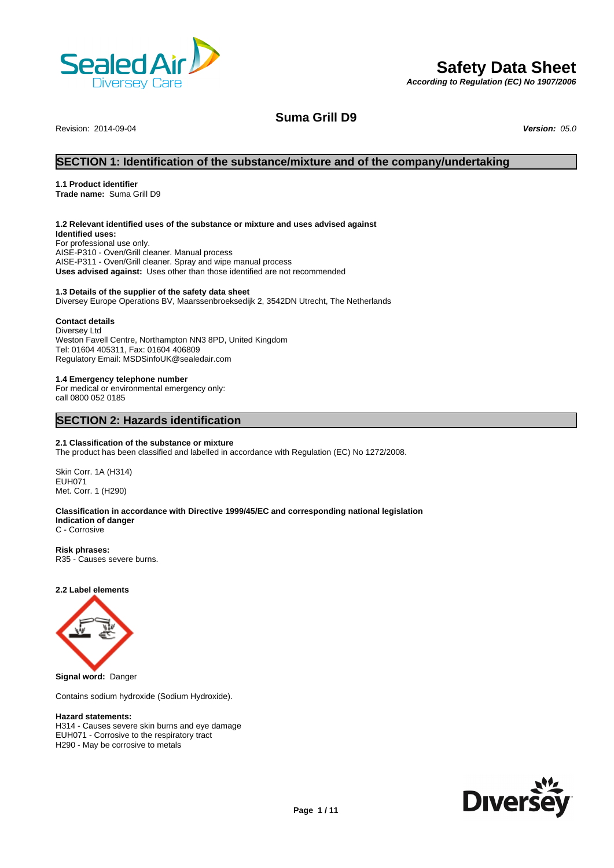

# **Safety Data Sheet**

*According to Regulation (EC) No 1907/2006*

Revision: 2014-09-04 *Version: 05.0*

**Suma Grill D9**

# **SECTION 1: Identification of the substance/mixture and of the company/undertaking**

#### **1.1 Product identifier**

**Trade name:** Suma Grill D9

#### **1.2 Relevant identified uses of the substance or mixture and uses advised against**

**Identified uses:** For professional use only. AISE-P310 - Oven/Grill cleaner. Manual process AISE-P311 - Oven/Grill cleaner. Spray and wipe manual process **Uses advised against:** Uses other than those identified are not recommended

#### **1.3 Details of the supplier of the safety data sheet**

Diversey Europe Operations BV, Maarssenbroeksedijk 2, 3542DN Utrecht, The Netherlands

#### **Contact details**

Diversey Ltd Weston Favell Centre, Northampton NN3 8PD, United Kingdom Tel: 01604 405311, Fax: 01604 406809 Regulatory Email: MSDSinfoUK@sealedair.com

#### **1.4 Emergency telephone number**

For medical or environmental emergency only: call 0800 052 0185

# **SECTION 2: Hazards identification**

#### **2.1 Classification of the substance or mixture**

The product has been classified and labelled in accordance with Regulation (EC) No 1272/2008.

Skin Corr. 1A (H314) EUH071 Met. Corr. 1 (H290)

#### **Classification in accordance with Directive 1999/45/EC and corresponding national legislation Indication of danger**

C - Corrosive

**Risk phrases:** R35 - Causes severe burns.

#### **2.2 Label elements**



Contains sodium hydroxide (Sodium Hydroxide).

## **Hazard statements:**

H314 - Causes severe skin burns and eye damage EUH071 - Corrosive to the respiratory tract H290 - May be corrosive to metals

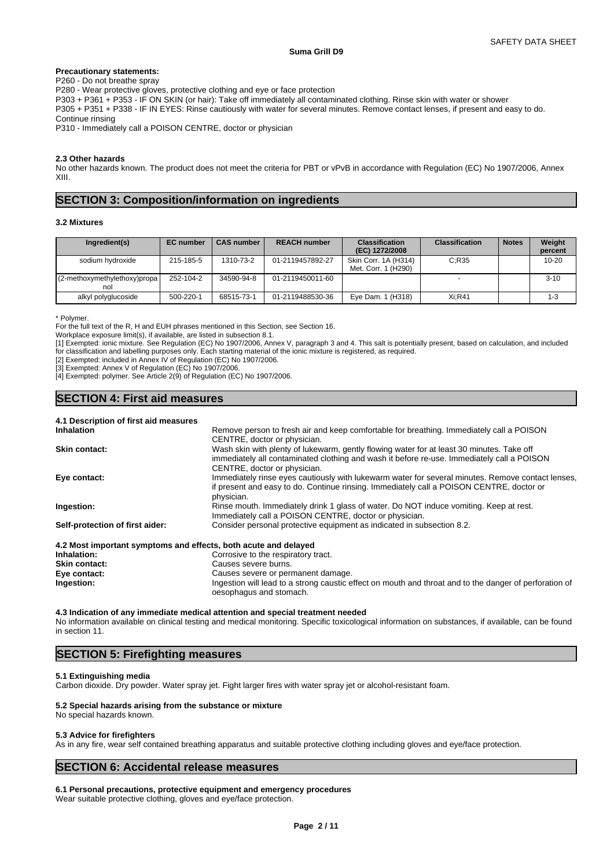#### **Precautionary statements:**

P260 - Do not breathe spray

P280 - Wear protective gloves, protective clothing and eye or face protection

P303 + P361 + P353 - IF ON SKIN (or hair): Take off immediately all contaminated clothing. Rinse skin with water or shower

P305 + P351 + P338 - IF IN EYES: Rinse cautiously with water for several minutes. Remove contact lenses, if present and easy to do. Continue rinsing

P310 - Immediately call a POISON CENTRE, doctor or physician

#### **2.3 Other hazards**

No other hazards known. The product does not meet the criteria for PBT or vPvB in accordance with Regulation (EC) No 1907/2006, Annex XIII.

# **SECTION 3: Composition/information on ingredients**

### **3.2 Mixtures**

| Ingredient(s)                       | <b>EC</b> number | <b>CAS number</b> | <b>REACH number</b> | <b>Classification</b><br>(EC) 1272/2008     | <b>Classification</b> | <b>Notes</b> | Weight<br>percent |
|-------------------------------------|------------------|-------------------|---------------------|---------------------------------------------|-----------------------|--------------|-------------------|
| sodium hydroxide                    | 215-185-5        | 1310-73-2         | 01-2119457892-27    | Skin Corr. 1A (H314)<br>Met. Corr. 1 (H290) | C:R35                 |              | $10 - 20$         |
| (2-methoxymethylethoxy)propa<br>nol | 252-104-2        | 34590-94-8        | 01-2119450011-60    |                                             |                       |              | $3 - 10$          |
| alkyl polyglucoside                 | 500-220-1        | 68515-73-1        | 01-2119488530-36    | Eye Dam. 1 (H318)                           | Xi:R41                |              | $1 - 3$           |

\* Polymer.

For the full text of the R, H and EUH phrases mentioned in this Section, see Section 16.

Workplace exposure limit(s), if available, are listed in subsection 8.1.

[1] Exempted: ionic mixture. See Regulation (EC) No 1907/2006, Annex V, paragraph 3 and 4. This salt is potentially present, based on calculation, and included for classification and labelling purposes only. Each starting material of the ionic mixture is registered, as required.

[2] Exempted: included in Annex IV of Regulation (EC) No 1907/2006.

[3] Exempted: Annex V of Regulation (EC) No 1907/2006.

[4] Exempted: polymer. See Article 2(9) of Regulation (EC) No 1907/2006.

# **SECTION 4: First aid measures**

| 4.1 Description of first aid measures                           |                                                                                                   |
|-----------------------------------------------------------------|---------------------------------------------------------------------------------------------------|
| <b>Inhalation</b>                                               | Remove person to fresh air and keep comfortable for breathing. Immediately call a POISON          |
|                                                                 | CENTRE, doctor or physician.                                                                      |
| <b>Skin contact:</b>                                            | Wash skin with plenty of lukewarm, gently flowing water for at least 30 minutes. Take off         |
|                                                                 | immediately all contaminated clothing and wash it before re-use. Immediately call a POISON        |
|                                                                 | CENTRE, doctor or physician.                                                                      |
| Eye contact:                                                    | Immediately rinse eyes cautiously with lukewarm water for several minutes. Remove contact lenses, |
|                                                                 | if present and easy to do. Continue rinsing. Immediately call a POISON CENTRE, doctor or          |
|                                                                 | physician.                                                                                        |
| Ingestion:                                                      | Rinse mouth. Immediately drink 1 glass of water. Do NOT induce vomiting. Keep at rest.            |
|                                                                 | Immediately call a POISON CENTRE, doctor or physician.                                            |
| Self-protection of first aider:                                 | Consider personal protective equipment as indicated in subsection 8.2.                            |
|                                                                 |                                                                                                   |
| 4.2 Most important symptoms and effects, both acute and delayed |                                                                                                   |
|                                                                 |                                                                                                   |

| Inhalation:          | Corrosive to the respiratory tract.                                                                                               |
|----------------------|-----------------------------------------------------------------------------------------------------------------------------------|
| <b>Skin contact:</b> | Causes severe burns.                                                                                                              |
| Eve contact:         | Causes severe or permanent damage.                                                                                                |
| Ingestion:           | Ingestion will lead to a strong caustic effect on mouth and throat and to the danger of perforation of<br>oesophagus and stomach. |

#### **4.3 Indication of any immediate medical attention and special treatment needed**

No information available on clinical testing and medical monitoring. Specific toxicological information on substances, if available, can be found in section 11.

# **SECTION 5: Firefighting measures**

#### **5.1 Extinguishing media**

Carbon dioxide. Dry powder. Water spray jet. Fight larger fires with water spray jet or alcohol-resistant foam.

#### **5.2 Special hazards arising from the substance or mixture**

#### No special hazards known.

#### **5.3 Advice for firefighters**

As in any fire, wear self contained breathing apparatus and suitable protective clothing including gloves and eye/face protection.

# **SECTION 6: Accidental release measures**

**6.1 Personal precautions, protective equipment and emergency procedures** Wear suitable protective clothing, gloves and eye/face protection.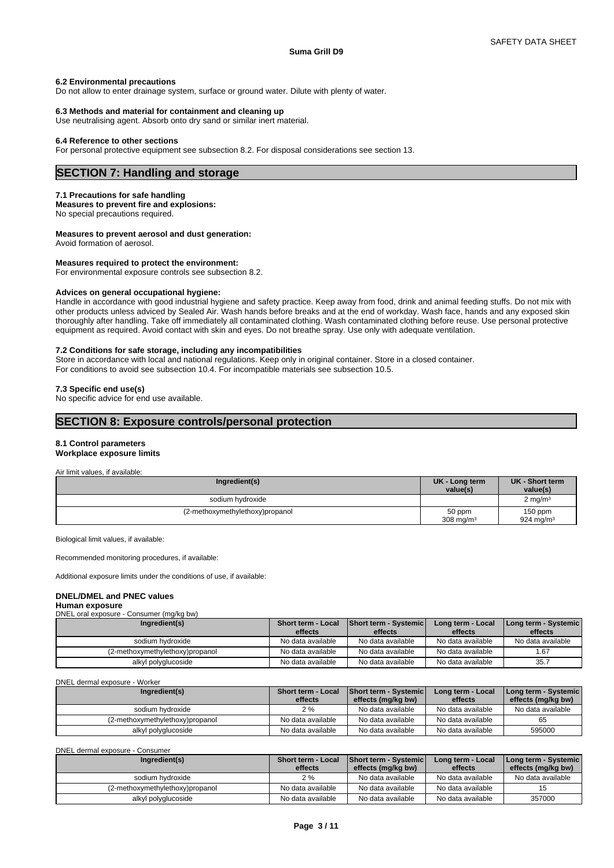#### **6.2 Environmental precautions**

Do not allow to enter drainage system, surface or ground water. Dilute with plenty of water.

#### **6.3 Methods and material for containment and cleaning up**

Use neutralising agent. Absorb onto dry sand or similar inert material.

#### **6.4 Reference to other sections**

For personal protective equipment see subsection 8.2. For disposal considerations see section 13.

# **SECTION 7: Handling and storage**

#### **7.1 Precautions for safe handling**

**Measures to prevent fire and explosions:** No special precautions required.

#### **Measures to prevent aerosol and dust generation:**

Avoid formation of aerosol.

#### **Measures required to protect the environment:**

For environmental exposure controls see subsection 8.2.

#### **Advices on general occupational hygiene:**

Handle in accordance with good industrial hygiene and safety practice. Keep away from food, drink and animal feeding stuffs. Do not mix with other products unless adviced by Sealed Air. Wash hands before breaks and at the end of workday. Wash face, hands and any exposed skin thoroughly after handling. Take off immediately all contaminated clothing. Wash contaminated clothing before reuse. Use personal protective equipment as required. Avoid contact with skin and eyes. Do not breathe spray. Use only with adequate ventilation.

#### **7.2 Conditions for safe storage, including any incompatibilities**

Store in accordance with local and national regulations. Keep only in original container. Store in a closed container.

For conditions to avoid see subsection 10.4. For incompatible materials see subsection 10.5.

#### **7.3 Specific end use(s)**

No specific advice for end use available.

# **SECTION 8: Exposure controls/personal protection**

# **8.1 Control parameters**

# **Workplace exposure limits**

Air limit values, if available:

| Ingredient(s)                   | UK - Long term<br>value(s) | UK - Short term<br>value(s) |
|---------------------------------|----------------------------|-----------------------------|
| sodium hydroxide                |                            | $2 \text{ mg/m}^3$          |
| (2-methoxymethylethoxy)propanol | 50 ppm<br>308 mg/m $3$     | 150 ppm<br>924 mg/m $3$     |

Biological limit values, if available:

Recommended monitoring procedures, if available:

Additional exposure limits under the conditions of use, if available:

#### **DNEL/DMEL and PNEC values**

#### **Human exposure**

| DNEL oral exposure - Consumer (mg/kg bw) |                    |                              |                   |                      |
|------------------------------------------|--------------------|------------------------------|-------------------|----------------------|
| Ingredient(s)                            | Short term - Local | <b>Short term - Systemic</b> | Long term - Local | Long term - Systemic |
|                                          | effects            | effects                      | effects           | effects              |
| sodium hydroxide                         | No data available  | No data available            | No data available | No data available    |
| (2-methoxymethylethoxy)propanol          | No data available  | No data available            | No data available | 67، ا                |

| DNEL dermal exposure - Worker |  |  |
|-------------------------------|--|--|
|                               |  |  |

| Ingredient(s)                   | <b>Short term - Local</b> | <b>Short term - Systemic</b> | Long term - Local | Long term - Systemic |
|---------------------------------|---------------------------|------------------------------|-------------------|----------------------|
|                                 | effects                   | effects (mg/kg bw)           | effects           | effects (mg/kg bw)   |
| sodium hydroxide                | 2 %                       | No data available            | No data available | No data available    |
| (2-methoxymethylethoxy)propanol | No data available         | No data available            | No data available | 65                   |
| alkyl polyglucoside             | No data available         | No data available            | No data available | 595000               |

alkyl polyglucoside No data available No data available No data available 35.7

DNEL dermal exposure - Consumer

| Ingredient(s)                   | <b>Short term - Local</b><br>effects | Short term - Systemic<br>effects (mg/kg bw) | Long term - Local<br>effects | Long term - Systemic  <br>effects (mg/kg bw) |
|---------------------------------|--------------------------------------|---------------------------------------------|------------------------------|----------------------------------------------|
| sodium hydroxide                | 2%                                   | No data available                           | No data available            | No data available                            |
| (2-methoxymethylethoxy)propanol | No data available                    | No data available                           | No data available            |                                              |
| alkyl polyglucoside             | No data available                    | No data available                           | No data available            | 357000                                       |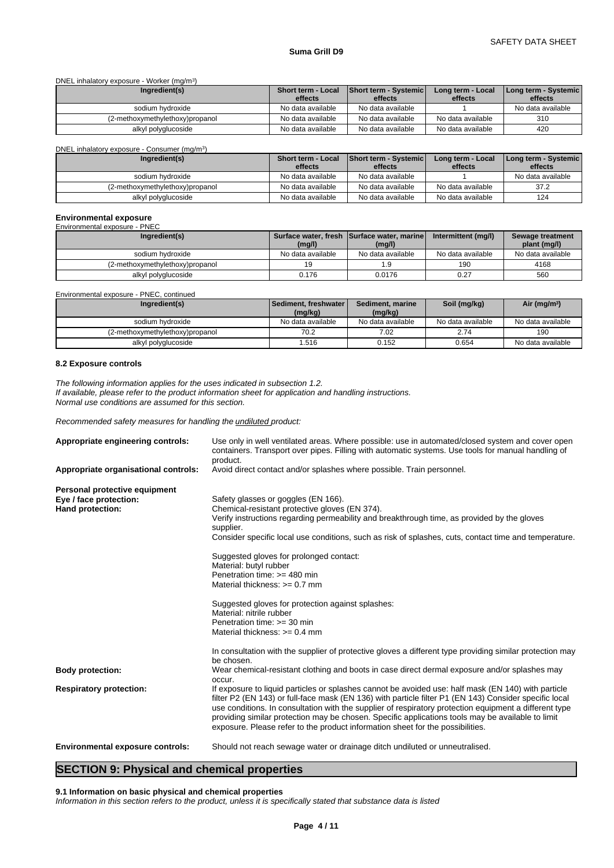DNEL inhalatory exposure - Worker (mg/m<sup>3</sup> ) and  $\overline{\phantom{a}}$ 

| Ingredient(s)                   | <b>Short term - Local</b> | <b>Short term - Systemic</b> | Long term - Local | Long term - Systemic |
|---------------------------------|---------------------------|------------------------------|-------------------|----------------------|
|                                 | effects                   | effects                      | effects           | effects              |
| sodium hydroxide                | No data available         | No data available            |                   | No data available    |
| (2-methoxymethylethoxy)propanol | No data available         | No data available            | No data available | 310                  |
| alkyl polyglucoside             | No data available         | No data available            | No data available | 420                  |

DNEL inhalatory exposure - Consumer (mg/m<sup>3</sup>)

| Ingredient(s)                   | <b>Short term - Local</b> | Short term - Systemic | Long term - Local | Long term - Systemic |
|---------------------------------|---------------------------|-----------------------|-------------------|----------------------|
|                                 | effects                   | effects               | effects           | effects              |
| sodium hvdroxide                | No data available         | No data available     |                   | No data available    |
| (2-methoxymethylethoxy)propanol | No data available         | No data available     | No data available | 37.2                 |
| alkyl polyglucoside             | No data available         | No data available     | No data available | 124                  |

# **Environmental exposure** Environmental exposure - PNEC

| Ingredient(s)                   | (mg/l)            | Surface water, fresh Surface water, marine<br>(mg/l) | Intermittent (mg/l) | Sewage treatment<br>plant (mg/l) |
|---------------------------------|-------------------|------------------------------------------------------|---------------------|----------------------------------|
| sodium hvdroxide                | No data available | No data available                                    | No data available   | No data available                |
| (2-methoxymethylethoxy)propanol |                   | .9                                                   | 190                 | 4168                             |
| alkyl polyglucoside             | 0.176             | 0.0176                                               | 0.27                | 560                              |

Environmental exposure - PNEC, continued

| Ingredient(s)                   | Sediment, freshwater<br>(mg/kg) | Sediment, marine<br>(mg/kg) | Soil (mg/kg)      | Air (mg/m <sup>3</sup> ) |
|---------------------------------|---------------------------------|-----------------------------|-------------------|--------------------------|
| sodium hvdroxide                | No data available               | No data available           | No data available | No data available        |
| ,2-methoxymethylethoxy)propanol | 70.2                            | 7.02                        | 2.74              | 190                      |
| alkyl polyglucoside             | .516                            | 0.152                       | 0.654             | No data available        |

#### **8.2 Exposure controls**

*The following information applies for the uses indicated in subsection 1.2. If available, please refer to the product information sheet for application and handling instructions. Normal use conditions are assumed for this section.*

)

*Recommended safety measures for handling the undiluted product:*

| Appropriate engineering controls:       | Use only in well ventilated areas. Where possible: use in automated/closed system and cover open<br>containers. Transport over pipes. Filling with automatic systems. Use tools for manual handling of<br>product.                                                                                                                                                                                                                                                                                             |
|-----------------------------------------|----------------------------------------------------------------------------------------------------------------------------------------------------------------------------------------------------------------------------------------------------------------------------------------------------------------------------------------------------------------------------------------------------------------------------------------------------------------------------------------------------------------|
| Appropriate organisational controls:    | Avoid direct contact and/or splashes where possible. Train personnel.                                                                                                                                                                                                                                                                                                                                                                                                                                          |
| Personal protective equipment           |                                                                                                                                                                                                                                                                                                                                                                                                                                                                                                                |
| Eye / face protection:                  | Safety glasses or goggles (EN 166).                                                                                                                                                                                                                                                                                                                                                                                                                                                                            |
| Hand protection:                        | Chemical-resistant protective gloves (EN 374).                                                                                                                                                                                                                                                                                                                                                                                                                                                                 |
|                                         | Verify instructions regarding permeability and breakthrough time, as provided by the gloves<br>supplier.                                                                                                                                                                                                                                                                                                                                                                                                       |
|                                         | Consider specific local use conditions, such as risk of splashes, cuts, contact time and temperature.                                                                                                                                                                                                                                                                                                                                                                                                          |
|                                         | Suggested gloves for prolonged contact:                                                                                                                                                                                                                                                                                                                                                                                                                                                                        |
|                                         | Material: butyl rubber                                                                                                                                                                                                                                                                                                                                                                                                                                                                                         |
|                                         | Penetration time: >= 480 min                                                                                                                                                                                                                                                                                                                                                                                                                                                                                   |
|                                         | Material thickness: $>= 0.7$ mm                                                                                                                                                                                                                                                                                                                                                                                                                                                                                |
|                                         | Suggested gloves for protection against splashes:                                                                                                                                                                                                                                                                                                                                                                                                                                                              |
|                                         | Material: nitrile rubber                                                                                                                                                                                                                                                                                                                                                                                                                                                                                       |
|                                         | Penetration time: >= 30 min                                                                                                                                                                                                                                                                                                                                                                                                                                                                                    |
|                                         | Material thickness: $>= 0.4$ mm                                                                                                                                                                                                                                                                                                                                                                                                                                                                                |
|                                         | In consultation with the supplier of protective gloves a different type providing similar protection may<br>be chosen.                                                                                                                                                                                                                                                                                                                                                                                         |
| <b>Body protection:</b>                 | Wear chemical-resistant clothing and boots in case direct dermal exposure and/or splashes may<br>occur.                                                                                                                                                                                                                                                                                                                                                                                                        |
| <b>Respiratory protection:</b>          | If exposure to liquid particles or splashes cannot be avoided use: half mask (EN 140) with particle<br>filter P2 (EN 143) or full-face mask (EN 136) with particle filter P1 (EN 143) Consider specific local<br>use conditions. In consultation with the supplier of respiratory protection equipment a different type<br>providing similar protection may be chosen. Specific applications tools may be available to limit<br>exposure. Please refer to the product information sheet for the possibilities. |
| <b>Environmental exposure controls:</b> | Should not reach sewage water or drainage ditch undiluted or unneutralised.                                                                                                                                                                                                                                                                                                                                                                                                                                    |
|                                         |                                                                                                                                                                                                                                                                                                                                                                                                                                                                                                                |

# **SECTION 9: Physical and chemical properties**

**9.1 Information on basic physical and chemical properties**

*Information in this section refers to the product, unless it is specifically stated that substance data is listed*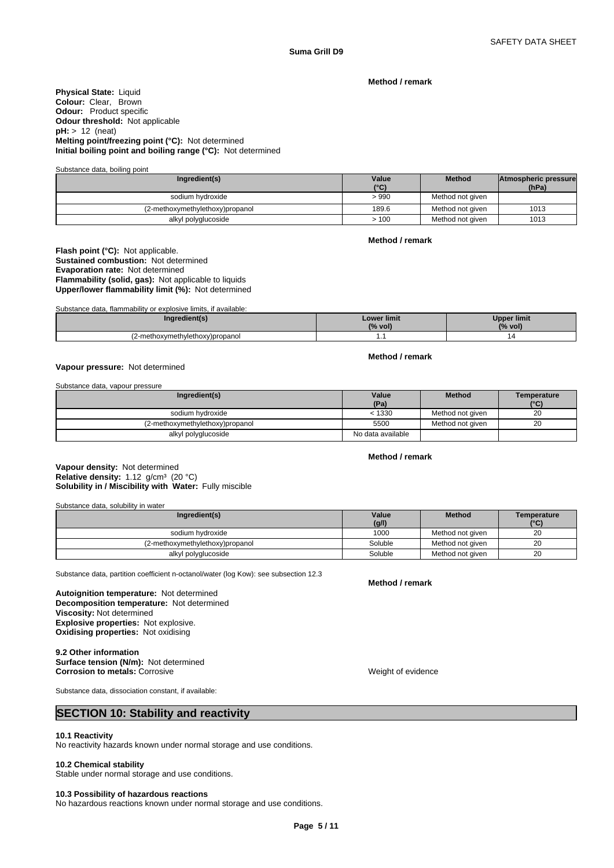**Method / remark**

**Physical State:** Liquid **Colour:** Clear, Brown **Odour:** Product specific **Odour threshold:** Not applicable **pH:** > 12 (neat) **Melting point/freezing point (°C):** Not determined **Initial boiling point and boiling range (°C):** Not determined

Substance data, boiling point

| Ingredient(s)                   | Value | <b>Method</b>    | Atmospheric pressure |  |
|---------------------------------|-------|------------------|----------------------|--|
|                                 | (°C)  |                  | (hPa)                |  |
| sodium hydroxide                | > 990 | Method not given |                      |  |
| (2-methoxymethylethoxy)propanol | 189.6 | Method not given | 1013                 |  |
| alkyl polyglucoside             | 100   | Method not given | 1013                 |  |

**Method / remark**

**Flash point (°C):** Not applicable. **Sustained combustion:** Not determined **Evaporation rate:** Not determined **Flammability (solid, gas):** Not applicable to liquids **Upper/lower flammability limit (%):** Not determined

Substance data, flammability or explosive limits, if available:

| redient(s)                      | <b>Lower limit</b><br>$\overline{101}$<br>(% vol) | Upper limit<br>(%<br>vol) |
|---------------------------------|---------------------------------------------------|---------------------------|
| (2-methoxymethylethoxy)propanol | .                                                 | $\overline{u}$            |

#### **Vapour pressure:** Not determined

Substance data, vapour pressure

| Ingredient(s)                   | Value             | <b>Method</b>    | Temperature |
|---------------------------------|-------------------|------------------|-------------|
|                                 | (Pa)              |                  | (°C)        |
| sodium hydroxide                | < 1330            | Method not given | 20          |
| (2-methoxymethylethoxy)propanol | 5500              | Method not given | 20          |
| alkyl polyglucoside             | No data available |                  |             |

**Method / remark**

**Method / remark**

**Solubility in / Miscibility with Water:** Fully miscible **Vapour density:** Not determined **Relative density:** 1.12 g/cm<sup>3</sup> (20 °C)

Substance data, solubility in water

| Ingredient(s)                   | Value<br>(g/l) | <b>Method</b>    | Temperature<br>(°C) |
|---------------------------------|----------------|------------------|---------------------|
| sodium hydroxide                | 1000           | Method not given | 20                  |
| (2-methoxymethylethoxy)propanol | Soluble        | Method not given | 20                  |
| alkyl polyglucoside             | Soluble        | Method not given | 20                  |

Substance data, partition coefficient n-octanol/water (log Kow): see subsection 12.3

**Decomposition temperature:** Not determined **Autoignition temperature:** Not determined **Viscosity:** Not determined **Explosive properties:** Not explosive. **Oxidising properties:** Not oxidising

#### **9.2 Other information Surface tension (N/m):** Not determined

**Corrosion to metals:** Corrosive **Corrosition Corrosition Corrosition** Weight of evidence

**Method / remark**

Substance data, dissociation constant, if available:

## **SECTION 10: Stability and reactivity**

#### **10.1 Reactivity**

No reactivity hazards known under normal storage and use conditions.

#### **10.2 Chemical stability**

Stable under normal storage and use conditions.

# **10.3 Possibility of hazardous reactions**

No hazardous reactions known under normal storage and use conditions.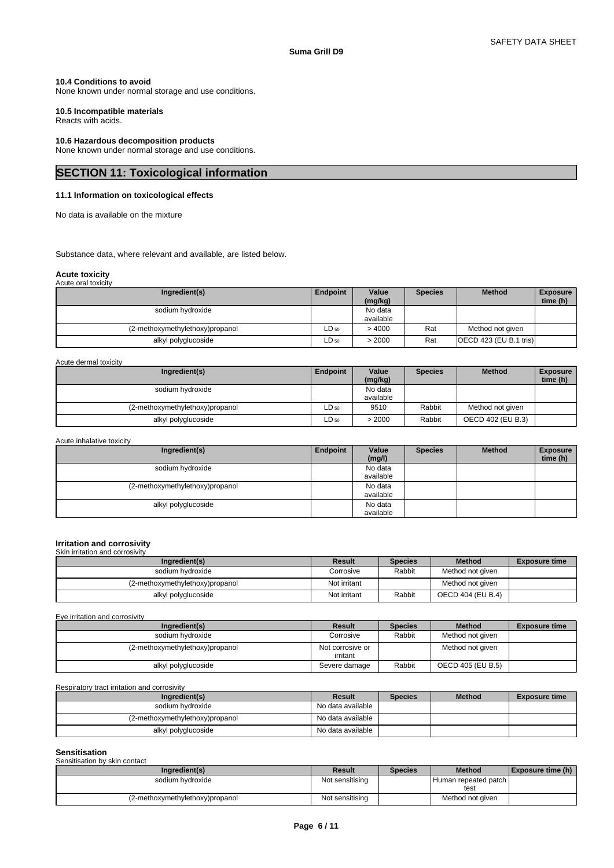**time (h)** 

### **10.4 Conditions to avoid**

None known under normal storage and use conditions.

### **10.5 Incompatible materials**

Reacts with acids.

### **10.6 Hazardous decomposition products**

None known under normal storage and use conditions.

# **SECTION 11: Toxicological information**

### **11.1 Information on toxicological effects**

No data is available on the mixture

Substance data, where relevant and available, are listed below.

## **Acute toxicity**

| Acute oral toxicity             |           |                      |                |                          |                             |
|---------------------------------|-----------|----------------------|----------------|--------------------------|-----------------------------|
| Ingredient(s)                   | Endpoint  | Value<br>(mg/kg)     | <b>Species</b> | <b>Method</b>            | <b>Exposure</b><br>time (h) |
| sodium hydroxide                |           | No data<br>available |                |                          |                             |
| (2-methoxymethylethoxy)propanol | $LD_{50}$ | >4000                | Rat            | Method not given         |                             |
| alkyl polyglucoside             | $LD_{50}$ | > 2000               | Rat            | [OECD 423 (EU B.1 tris)] |                             |

# Acute dermal toxicity

| Ingredient(s)                   | Endpoint  | Value<br>(mg/kg) | <b>Species</b> | <b>Method</b>     | <b>Exposure</b><br>time (h) |
|---------------------------------|-----------|------------------|----------------|-------------------|-----------------------------|
| sodium hydroxide                |           | No data          |                |                   |                             |
|                                 |           | available        |                |                   |                             |
| (2-methoxymethylethoxy)propanol | LD 50     | 9510             | Rabbit         | Method not given  |                             |
| alkyl polyglucoside             | $LD_{50}$ | >2000            | Rabbit         | OECD 402 (EU B.3) |                             |

#### Acute inhalative toxicity **Ingredient(s) Endpoint Value** Species **(mg/l) Method** Exposure sodium hydroxide No data available (2-methoxymethylethoxy)propanol No data available<br>No data alkyl polyglucoside

#### **Irritation and corrosivity** Skin irritation and corr

| <u>UNILI ILINGNULL GINI UULLUSIVIN</u> |              |                |                   |                      |  |  |
|----------------------------------------|--------------|----------------|-------------------|----------------------|--|--|
| Ingredient(s)                          | Result       | <b>Species</b> | <b>Method</b>     | <b>Exposure time</b> |  |  |
| sodium hydroxide                       | Corrosive    | Rabbit         | Method not given  |                      |  |  |
| (2-methoxymethylethoxy)propanol        | Not irritant |                | Method not given  |                      |  |  |
| alkyl polyglucoside                    | Not irritant | Rabbit         | OECD 404 (EU B.4) |                      |  |  |

available

Eye irritation and corrosivity

| Ingredient(s)                   | Result                       | <b>Species</b> | <b>Method</b>     | <b>Exposure time</b> |
|---------------------------------|------------------------------|----------------|-------------------|----------------------|
| sodium hydroxide                | Corrosive                    | Rabbit         | Method not given  |                      |
| (2-methoxymethylethoxy)propanol | Not corrosive or<br>irritant |                | Method not given  |                      |
| alkyl polyglucoside             | Severe damage                | Rabbit         | OECD 405 (EU B.5) |                      |

Respiratory tract irritation and corrosivity

| Ingredient(s)                   | Result            | <b>Species</b> | <b>Method</b> | <b>Exposure time</b> |
|---------------------------------|-------------------|----------------|---------------|----------------------|
| sodium hvdroxide                | No data available |                |               |                      |
| (2-methoxymethylethoxy)propanol | No data available |                |               |                      |
| alkyl polyglucoside             | No data available |                |               |                      |

#### **Sensitisation** ntottroatton<br>neification by skin contact

| <b>UCHOILOGILUI DV SNII CUILLACL</b> |                 |                |                      |                   |  |  |
|--------------------------------------|-----------------|----------------|----------------------|-------------------|--|--|
| Inaredient(s)                        | Result          | <b>Species</b> | <b>Method</b>        | Exposure time (h) |  |  |
| sodium hydroxide                     | Not sensitising |                | Human repeated patch |                   |  |  |
|                                      |                 |                | test                 |                   |  |  |
| (2-methoxymethylethoxy)propanol      | Not sensitising |                | Method not given     |                   |  |  |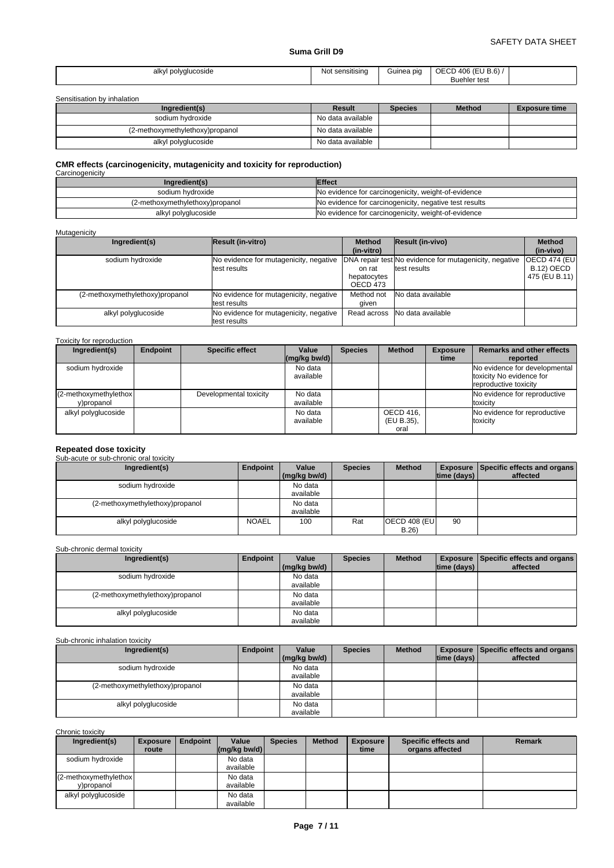| $n_{\rm{th}}$<br>alkvl<br>olvalucoside<br>the contract of the contract of | $\cdots$<br>sensitising<br>No.<br>งบ | suinea pic | 406<br>$\sim$<br>ЭE<br><b>B.6</b> )<br>- 72<br>. .<br>∶test<br>™ehler …<br>אוור |  |
|---------------------------------------------------------------------------|--------------------------------------|------------|---------------------------------------------------------------------------------|--|
|---------------------------------------------------------------------------|--------------------------------------|------------|---------------------------------------------------------------------------------|--|

Sensitisation by inhalation

| Ingredient(s)                   | Result            | <b>Species</b> | <b>Method</b> | <b>Exposure time</b> |
|---------------------------------|-------------------|----------------|---------------|----------------------|
| sodium hvdroxide                | No data available |                |               |                      |
| (2-methoxymethylethoxy)propanol | No data available |                |               |                      |
| alkyl polyglucoside             | No data available |                |               |                      |

# **CMR effects (carcinogenicity, mutagenicity and toxicity for reproduction)** Carcinogenicity

| Ingredient(s)                   | <b>Effect</b>                                          |
|---------------------------------|--------------------------------------------------------|
| sodium hvdroxide                | No evidence for carcinogenicity, weight-of-evidence    |
| (2-methoxymethylethoxy)propanol | No evidence for carcinogenicity, negative test results |
| alkyl polyglucoside             | No evidence for carcinogenicity, weight-of-evidence    |

#### Mutagenicity

| Ingredient(s)                   | Result (in-vitro)                                       | <b>Method</b><br>(in-vitro)       | Result (in-vivo)                                                       | <b>Method</b><br>(in-vivo)                          |
|---------------------------------|---------------------------------------------------------|-----------------------------------|------------------------------------------------------------------------|-----------------------------------------------------|
| sodium hydroxide                | No evidence for mutagenicity, negative<br>ltest results | on rat<br>hepatocytes<br>OECD 473 | DNA repair test No evidence for mutagenicity, negative<br>test results | <b>OECD 474 (EU)</b><br>B.12) OECD<br>475 (EU B.11) |
| (2-methoxymethylethoxy)propanol | No evidence for mutagenicity, negative<br>ltest results | Method not<br>given               | No data available                                                      |                                                     |
| alkyl polyglucoside             | No evidence for mutagenicity, negative<br>ltest results | Read across                       | No data available                                                      |                                                     |

#### Toxicity for reproduction

| Ingredient(s)                        | Endpoint | <b>Specific effect</b> | Value<br>$\left \frac{\text{mg}}{\text{kg}}\right $ bw/d) | <b>Species</b> | <b>Method</b>                   | <b>Exposure</b><br>time | Remarks and other effects<br>reported                                              |
|--------------------------------------|----------|------------------------|-----------------------------------------------------------|----------------|---------------------------------|-------------------------|------------------------------------------------------------------------------------|
| sodium hydroxide                     |          |                        | No data<br>available                                      |                |                                 |                         | No evidence for developmental<br>toxicity No evidence for<br>reproductive toxicity |
| (2-methoxymethylethox)<br>y)propanol |          | Developmental toxicity | No data<br>available                                      |                |                                 |                         | No evidence for reproductive<br>toxicity                                           |
| alkyl polyglucoside                  |          |                        | No data<br>available                                      |                | OECD 416,<br>(EU B.35),<br>oral |                         | No evidence for reproductive<br>toxicity                                           |

**Repeated dose toxicity** Sub-acute or sub-chronic oral toxicity

| Ingredient(s)                   | Endpoint     | Value        | <b>Species</b> | <b>Method</b>        |             | Exposure Specific effects and organs |
|---------------------------------|--------------|--------------|----------------|----------------------|-------------|--------------------------------------|
|                                 |              | (mg/kg bw/d) |                |                      | time (days) | affected                             |
| sodium hydroxide                |              | No data      |                |                      |             |                                      |
|                                 |              | available    |                |                      |             |                                      |
| (2-methoxymethylethoxy)propanol |              | No data      |                |                      |             |                                      |
|                                 |              | available    |                |                      |             |                                      |
| alkyl polyglucoside             | <b>NOAEL</b> | 100          | Rat            | <b>OECD 408 (EU)</b> | 90          |                                      |
|                                 |              |              |                | B.26                 |             |                                      |

#### Sub-chronic dermal toxicity

| Ingredient(s)                   | Endpoint | Value        | <b>Species</b> | <b>Method</b> |             | <b>Exposure   Specific effects and organs  </b> |
|---------------------------------|----------|--------------|----------------|---------------|-------------|-------------------------------------------------|
|                                 |          | (mg/kg bw/d) |                |               | time (days) | affected                                        |
| sodium hydroxide                |          | No data      |                |               |             |                                                 |
|                                 |          | available    |                |               |             |                                                 |
| (2-methoxymethylethoxy)propanol |          | No data      |                |               |             |                                                 |
|                                 |          | available    |                |               |             |                                                 |
| alkyl polyglucoside             |          | No data      |                |               |             |                                                 |
|                                 |          | available    |                |               |             |                                                 |

# Sub-chronic inhalation toxicity

| Ingredient(s)                   | Endpoint | Value                | <b>Species</b> | <b>Method</b> |             | <b>Exposure   Specific effects and organs  </b> |
|---------------------------------|----------|----------------------|----------------|---------------|-------------|-------------------------------------------------|
|                                 |          | (mg/kg bw/d)         |                |               | time (days) | affected                                        |
| sodium hydroxide                |          | No data<br>available |                |               |             |                                                 |
| (2-methoxymethylethoxy)propanol |          | No data<br>available |                |               |             |                                                 |
| alkyl polyglucoside             |          | No data<br>available |                |               |             |                                                 |

Chronic toxicity

| Ingredient(s)                          | <b>Exposure</b> | <b>Endpoint</b> | Value                                            | <b>Species</b> | <b>Method</b> | <b>Exposure</b> | Specific effects and | <b>Remark</b> |
|----------------------------------------|-----------------|-----------------|--------------------------------------------------|----------------|---------------|-----------------|----------------------|---------------|
|                                        | route           |                 | $\left \frac{\text{mg}}{\text{kg}}\right $ bw/d) |                |               | time            | organs affected      |               |
| sodium hydroxide                       |                 |                 | No data<br>available                             |                |               |                 |                      |               |
| $(2$ -methoxymethylethox<br>y)propanol |                 |                 | No data<br>available                             |                |               |                 |                      |               |
| alkyl polyglucoside                    |                 |                 | No data<br>available                             |                |               |                 |                      |               |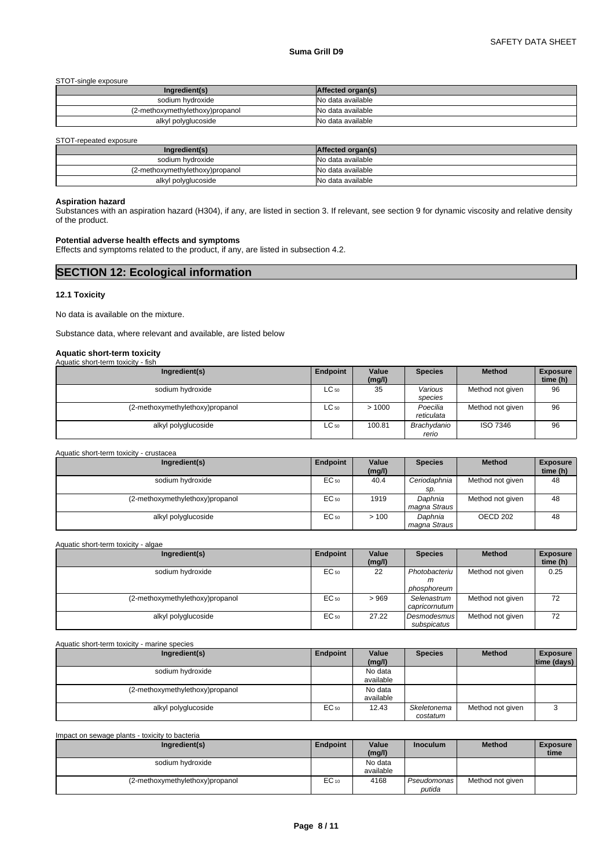#### STOT-single exposure

| Ingredient(s)                   | Affected organ(s) |
|---------------------------------|-------------------|
| sodium hvdroxide                | No data available |
| (2-methoxymethylethoxy)propanol | No data available |
| alkyl polyglucoside             | No data available |

STOT-repeated exposure

| Ingredient(s)                   | Affected organ(s) |
|---------------------------------|-------------------|
| sodium hydroxide                | No data available |
| (2-methoxymethylethoxy)propanol | No data available |
| alkyl polyglucoside             | No data available |

### **Aspiration hazard**

Substances with an aspiration hazard (H304), if any, are listed in section 3. If relevant, see section 9 for dynamic viscosity and relative density of the product.

#### **Potential adverse health effects and symptoms**

Effects and symptoms related to the product, if any, are listed in subsection 4.2.

| <b>SECTION 12: Ecological information</b> |  |
|-------------------------------------------|--|
|                                           |  |

#### **12.1 Toxicity**

No data is available on the mixture.

Substance data, where relevant and available, are listed below

# **Aquatic short-term toxicity** Aquatic short-term toxicity - fish

| $1$ igaatio onone tonni toxioity<br> |           |                 |                        |                  |                             |
|--------------------------------------|-----------|-----------------|------------------------|------------------|-----------------------------|
| Ingredient(s)                        | Endpoint  | Value<br>(mg/l) | <b>Species</b>         | <b>Method</b>    | <b>Exposure</b><br>time (h) |
| sodium hydroxide                     | $LC_{50}$ | 35              | Various<br>species     | Method not given | 96                          |
| (2-methoxymethylethoxy)propanol      | $LC_{50}$ | >1000           | Poecilia<br>reticulata | Method not given | 96                          |
| alkyl polyglucoside                  | $LC_{50}$ | 100.81          | Brachydanio<br>rerio   | ISO 7346         | 96                          |

| Ingredient(s)                   | Endpoint | Value<br>(mg/l) | <b>Species</b>          | <b>Method</b>    | <b>Exposure</b><br>time (h) |
|---------------------------------|----------|-----------------|-------------------------|------------------|-----------------------------|
| sodium hydroxide                | EC 50    | 40.4            | Ceriodaphnia<br>SD.     | Method not given | 48                          |
| (2-methoxymethylethoxy)propanol | EC 50    | 1919            | Daphnia<br>magna Straus | Method not given | 48                          |
| alkyl polyglucoside             | EC 50    | >100            | Daphnia<br>magna Straus | OECD 202         | 48                          |

| Aquatic short-term toxicity - algae |          |                 |                                   |                  |                             |  |  |  |  |  |
|-------------------------------------|----------|-----------------|-----------------------------------|------------------|-----------------------------|--|--|--|--|--|
| Ingredient(s)                       | Endpoint | Value<br>(mg/l) | <b>Species</b>                    | <b>Method</b>    | <b>Exposure</b><br>time (h) |  |  |  |  |  |
| sodium hydroxide                    | EC 50    | 22              | Photobacteriu<br>m<br>phosphoreum | Method not given | 0.25                        |  |  |  |  |  |
| (2-methoxymethylethoxy)propanol     | EC 50    | >969            | Selenastrum<br>capricornutum      | Method not given | 72                          |  |  |  |  |  |
| alkyl polyglucoside                 | EC 50    | 27.22           | <b>Desmodesmus</b><br>subspicatus | Method not given | 72                          |  |  |  |  |  |

| Aquatic short-term toxicity - marine species |          |                      |                         |                  |                                |
|----------------------------------------------|----------|----------------------|-------------------------|------------------|--------------------------------|
| Ingredient(s)                                | Endpoint | Value<br>(mg/l)      | <b>Species</b>          | <b>Method</b>    | <b>Exposure</b><br>time (days) |
| sodium hydroxide                             |          | No data<br>available |                         |                  |                                |
| (2-methoxymethylethoxy)propanol              |          | No data<br>available |                         |                  |                                |
| alkyl polyglucoside                          | EC 50    | 12.43                | Skeletonema<br>costatum | Method not given | w                              |

| Impact on sewage plants - toxicity to bacteria |           |                 |                 |                  |                         |
|------------------------------------------------|-----------|-----------------|-----------------|------------------|-------------------------|
| Ingredient(s)                                  | Endpoint  | Value<br>(mg/l) | <b>Inoculum</b> | <b>Method</b>    | <b>Exposure</b><br>time |
| sodium hydroxide                               |           | No data         |                 |                  |                         |
|                                                |           | available       |                 |                  |                         |
| (2-methoxymethylethoxy)propanol                | $EC_{10}$ | 4168            | Pseudomonas     | Method not given |                         |
|                                                |           |                 | putida          |                  |                         |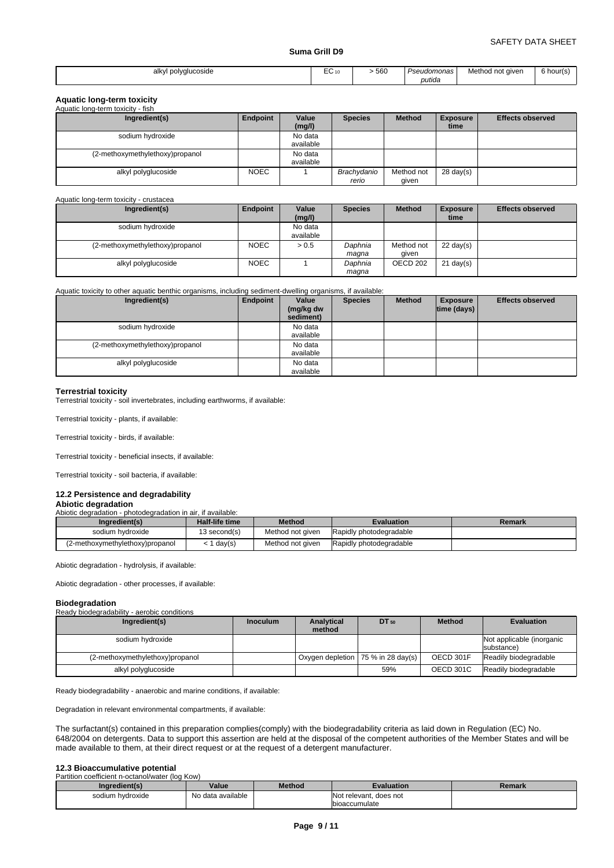| ! polvalucoside<br>alkvl<br>. | $\overline{\phantom{a}}$<br>ہ۔<br>– 10 U<br>__ | 560 | 'seudomonas'<br>120 | Method<br>not giver | $\sim$ $\cdot$<br>6 hour(s) |
|-------------------------------|------------------------------------------------|-----|---------------------|---------------------|-----------------------------|
|                               |                                                |     | putida              |                     |                             |

#### **Aquatic long-term toxicity**

| Aquatic long-term toxicity - fish |             |                      |                      |                     |                         |                         |
|-----------------------------------|-------------|----------------------|----------------------|---------------------|-------------------------|-------------------------|
| Ingredient(s)                     | Endpoint    | Value<br>(mg/l)      | <b>Species</b>       | <b>Method</b>       | <b>Exposure</b><br>time | <b>Effects observed</b> |
| sodium hydroxide                  |             | No data<br>available |                      |                     |                         |                         |
| (2-methoxymethylethoxy)propanol   |             | No data<br>available |                      |                     |                         |                         |
| alkyl polyglucoside               | <b>NOEC</b> |                      | Brachydanio<br>rerio | Method not<br>given | $28 \text{ day}(s)$     |                         |

#### Aquatic long-term toxicity - crustacea

| Ingredient(s)                   | Endpoint    | Value<br>(mg/l)      | <b>Species</b>   | <b>Method</b>       | <b>Exposure</b><br>time | <b>Effects observed</b> |
|---------------------------------|-------------|----------------------|------------------|---------------------|-------------------------|-------------------------|
| sodium hydroxide                |             | No data<br>available |                  |                     |                         |                         |
| (2-methoxymethylethoxy)propanol | <b>NOEC</b> | > 0.5                | Daphnia<br>maqna | Method not<br>given | $22 \text{ day}(s)$     |                         |
| alkyl polyglucoside             | <b>NOEC</b> |                      | Daphnia<br>maqna | OECD <sub>202</sub> | $21$ day(s)             |                         |

#### Aquatic toxicity to other aquatic benthic organisms, including sediment-dwelling organisms, if available:

| Ingredient(s)                   | Endpoint | Value<br>(mg/kg dw<br>sediment) | <b>Species</b> | <b>Method</b> | <b>Exposure</b><br>$ time$ (days) $ $ | <b>Effects observed</b> |
|---------------------------------|----------|---------------------------------|----------------|---------------|---------------------------------------|-------------------------|
| sodium hydroxide                |          | No data<br>available            |                |               |                                       |                         |
| (2-methoxymethylethoxy)propanol |          | No data<br>available            |                |               |                                       |                         |
| alkyl polyglucoside             |          | No data<br>available            |                |               |                                       |                         |

#### **Terrestrial toxicity**

Terrestrial toxicity - soil invertebrates, including earthworms, if available:

Terrestrial toxicity - plants, if available:

Terrestrial toxicity - birds, if available:

Terrestrial toxicity - beneficial insects, if available:

Terrestrial toxicity - soil bacteria, if available:

# **12.2 Persistence and degradability**

# **Abiotic degradation**

Abiotic degradation - photodegradation in air, if available:

| Ingredient(s)                   | <b>Half-life time</b> | Method           | Evaluation              | Remark |
|---------------------------------|-----------------------|------------------|-------------------------|--------|
| sodium hydroxide                | 13 second(s)          | Method not given | Rapidly photodegradable |        |
| (2-methoxymethylethoxy)propanol | day(s)                | Method not given | Rapidly photodegradable |        |

Abiotic degradation - hydrolysis, if available:

Abiotic degradation - other processes, if available:

#### **Biodegradation**

| --------------                              |                 |                      |                                      |                  |                                         |  |  |  |  |
|---------------------------------------------|-----------------|----------------------|--------------------------------------|------------------|-----------------------------------------|--|--|--|--|
| Ready biodegradability - aerobic conditions |                 |                      |                                      |                  |                                         |  |  |  |  |
| Ingredient(s)                               | <b>Inoculum</b> | Analytical<br>method | DT 50                                | <b>Method</b>    | <b>Evaluation</b>                       |  |  |  |  |
| sodium hydroxide                            |                 |                      |                                      |                  | Not applicable (inorganic<br>substance) |  |  |  |  |
| (2-methoxymethylethoxy)propanol             |                 |                      | Oxygen depletion   75 % in 28 day(s) | OECD 301F        | Readily biodegradable                   |  |  |  |  |
| alkyl polyglucoside                         |                 |                      | 59%                                  | <b>OECD 301C</b> | Readily biodegradable                   |  |  |  |  |

Ready biodegradability - anaerobic and marine conditions, if available:

Degradation in relevant environmental compartments, if available:

The surfactant(s) contained in this preparation complies(comply) with the biodegradability criteria as laid down in Regulation (EC) No. 648/2004 on detergents. Data to support this assertion are held at the disposal of the competent authorities of the Member States and will be made available to them, at their direct request or at the request of a detergent manufacturer.

# **12.3 Bioaccumulative potential**<br>Partition coefficient n-octanol/water (log Kow)

| Ingredient(s)    | Value             | <b>Method</b> | Evaluation                | Remark |
|------------------|-------------------|---------------|---------------------------|--------|
| sodium hydroxide | No data available |               | Not relevant.<br>does not |        |
|                  |                   |               | Ibioaccumulate            |        |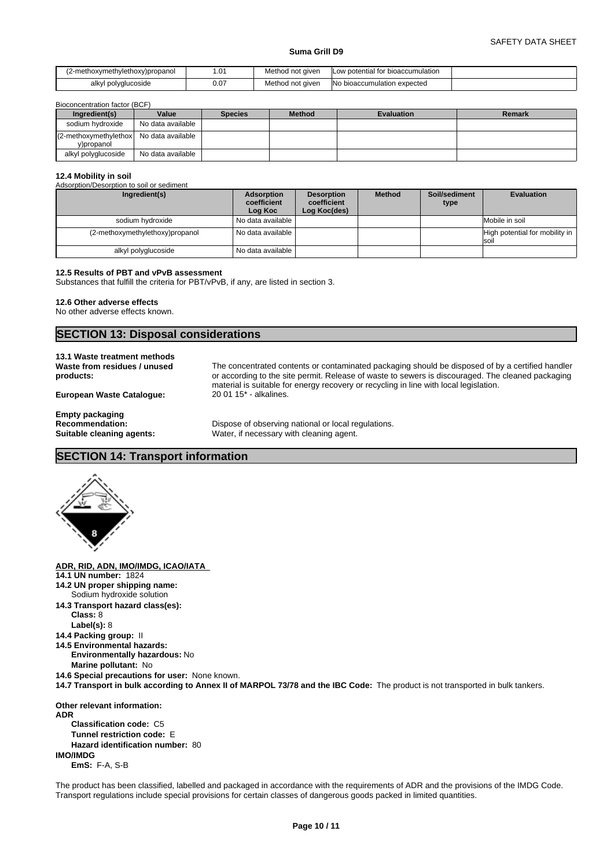| (2-methoxymethylethoxy)propanol | $\mathbf{A}$<br>ו שיו | Method not given | <b>ILow potential for bioaccumulation</b> |  |
|---------------------------------|-----------------------|------------------|-------------------------------------------|--|
| alkvl<br>l polyglucoside        | 0.07                  | Method not given | No bioaccumulation expected               |  |

concentration factor (BCF)

| Ingredient(s)                                          | Value             | <b>Species</b> | <b>Method</b> | <b>Evaluation</b> | Remark |
|--------------------------------------------------------|-------------------|----------------|---------------|-------------------|--------|
| sodium hydroxide                                       | No data available |                |               |                   |        |
| (2-methoxymethylethox) No data available<br>v)propanol |                   |                |               |                   |        |
| alkyl polyglucoside                                    | No data available |                |               |                   |        |

#### **12.4 Mobility in soil**

| Ingredient(s)                   | Adsorption<br>coefficient<br>Log Koc | <b>Desorption</b><br>coefficient<br>Log Koc(des) | <b>Method</b> | Soil/sediment<br>type | <b>Evaluation</b>                         |
|---------------------------------|--------------------------------------|--------------------------------------------------|---------------|-----------------------|-------------------------------------------|
| sodium hydroxide                | l No data available I                |                                                  |               |                       | Mobile in soil                            |
| (2-methoxymethylethoxy)propanol | l No data available I                |                                                  |               |                       | High potential for mobility in  <br>Isoil |
| alkyl polyglucoside             | No data available                    |                                                  |               |                       |                                           |

The concentrated contents or contaminated packaging should be disposed of by a certified handler or according to the site permit. Release of waste to sewers is discouraged. The cleaned packaging

material is suitable for energy recovery or recycling in line with local legislation.

#### **12.5 Results of PBT and vPvB assessment**

Substances that fulfill the criteria for PBT/vPvB, if any, are listed in section 3.

#### **12.6 Other adverse effects**

No other adverse effects known.

# **SECTION 13: Disposal considerations**

Adsorption/Desorption to soil or sediment

#### **13.1 Waste treatment methods Waste from residues / unused products:**

**European Waste Catalogue:** 20 01 15\* - alkalines.

**Empty packaging**

**Recommendation:** Dispose of observing national or local regulations.<br> **Suitable cleaning agents:** Water, if necessary with cleaning agent. Water, if necessary with cleaning agent.

# **SECTION 14: Transport information**



**ADR, RID, ADN, IMO/IMDG, ICAO/IATA** 

- **14.1 UN number:** 1824
- **14.2 UN proper shipping name:** Sodium hydroxide solution
- **14.3 Transport hazard class(es): Class:** 8
	- **Label(s):** 8
- **14.4 Packing group:** II
- **14.5 Environmental hazards: Environmentally hazardous:** No **Marine pollutant:** No
- **14.6 Special precautions for user:** None known.
- **14.7 Transport in bulk according to Annex II of MARPOL 73/78 and the IBC Code:** The product is not transported in bulk tankers.

**Other relevant information: ADR Classification code:** C5 **Tunnel restriction code:** E **Hazard identification number:** 80 **IMO/IMDG EmS:** F-A, S-B

The product has been classified, labelled and packaged in accordance with the requirements of ADR and the provisions of the IMDG Code. Transport regulations include special provisions for certain classes of dangerous goods packed in limited quantities.